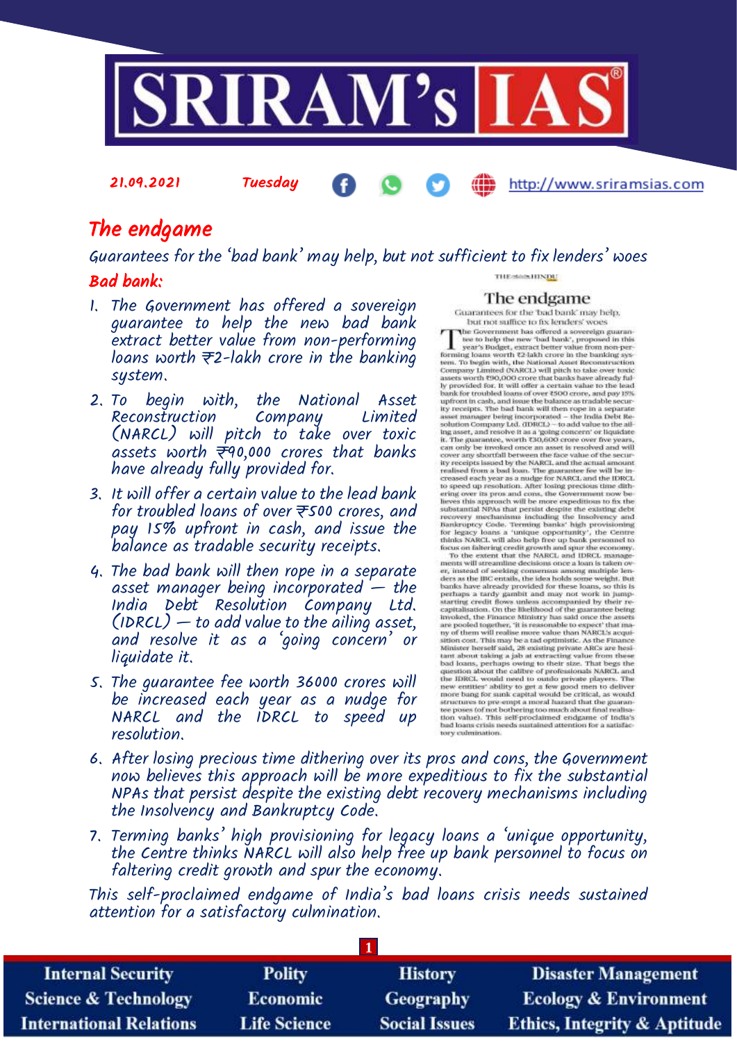

# The endgame

21.09.2021 Tuesday

Guarantees for the 'bad bank' may help, but not sufficient to fix lenders' woes

### Bad bank:

- 1. The Government has offered a sovereign guarantee to help the new bad bank extract better value from non-performing loans worth  $\overline{z}$ 2-lakh crore in the banking system.
- 2. To begin with, the National Asset Reconstruction Company (NARCL) will pitch to take over toxic assets worth  $\neq 0,000$  crores that banks have already fully provided for.
- 3. It will offer a certain value to the lead bank for troubled loans of over  $\bar{\tau}$ 500 crores, and pay 15% upfront in cash, and issue the balance as tradable security receipts.
- 4. The bad bank will then rope in a separate asset manager being incorporated  $-$  the India Debt Resolution Company Ltd.  $(1DRCL)$  — to add value to the ailing asset, and resolve it as a 'going concern' or liquidate it.
- 5. The guarantee fee worth 36000 crores will be increased each year as a nudge for NARCL and the IDRCL to speed up resolution.

THE SMOKHINDE

### The endgame

http://www.sriramsias.com

Guarantees for the 'bad bank' may help, but not suffice to fix lenders' woes

but not suffice to fix lenders' woes<br>
The Government has offered a sovereign guaran-<br>
tee to help the new 'bad bank', proposed in this<br>
year's Budget, extract better value from non-per-<br>
forming loans worth 72-lakh crore i bank for troubled loans of over ₹500 crore, and pay 18%<br>upfrom the cash, and issue the balance as tradable secure<br>life processes transpare being incorporated – the India Debt Re-<br>says that is proported to the India Debt Re ity recespts issued by the NARCL, and the actual amount realised from a bost. The gaarantee fee will be increased each year as a nudge for NARCL and the IDRCL to speed up resolution. After losing precious time dithous eri ity receipts issued by the NARCL and the actual amount

er, instead of seeking consensus among multiple lenders as the IIC entails, the idea holds some weight. But has bands how shows the same bands have already provided for these loans, so this is perhaps a tardy gambit and m pertury a tarty gamma ran may not work in pump-<br>starting credit flows unless accompanied by their recapital<br>statem. On the likelihood of the graanantee being understand. On the likelihood of the graan<br>ance being any start starting credit flows unless accompanied by their re-

- 6. After losing precious time dithering over its pros and cons, the Government now believes this approach will be more expeditious to fix the substantial NPAs that persist despite the existing debt recovery mechanisms including the Insolvency and Bankruptcy Code.
- 7. Terming banks' high provisioning for legacy loans a 'unique opportunity, the Centre thinks NARCL will also help free up bank personnel to focus on faltering credit growth and spur the economy.

This self-proclaimed endgame of India's bad loans crisis needs sustained attention for a satisfactory culmination.

| <b>Internal Security</b>        | <b>Polity</b>       | <b>History</b>       | <b>Disaster Management</b>              |
|---------------------------------|---------------------|----------------------|-----------------------------------------|
| <b>Science &amp; Technology</b> | <b>Economic</b>     | <b>Geography</b>     | <b>Ecology &amp; Environment</b>        |
| <b>International Relations</b>  | <b>Life Science</b> | <b>Social Issues</b> | <b>Ethics, Integrity &amp; Aptitude</b> |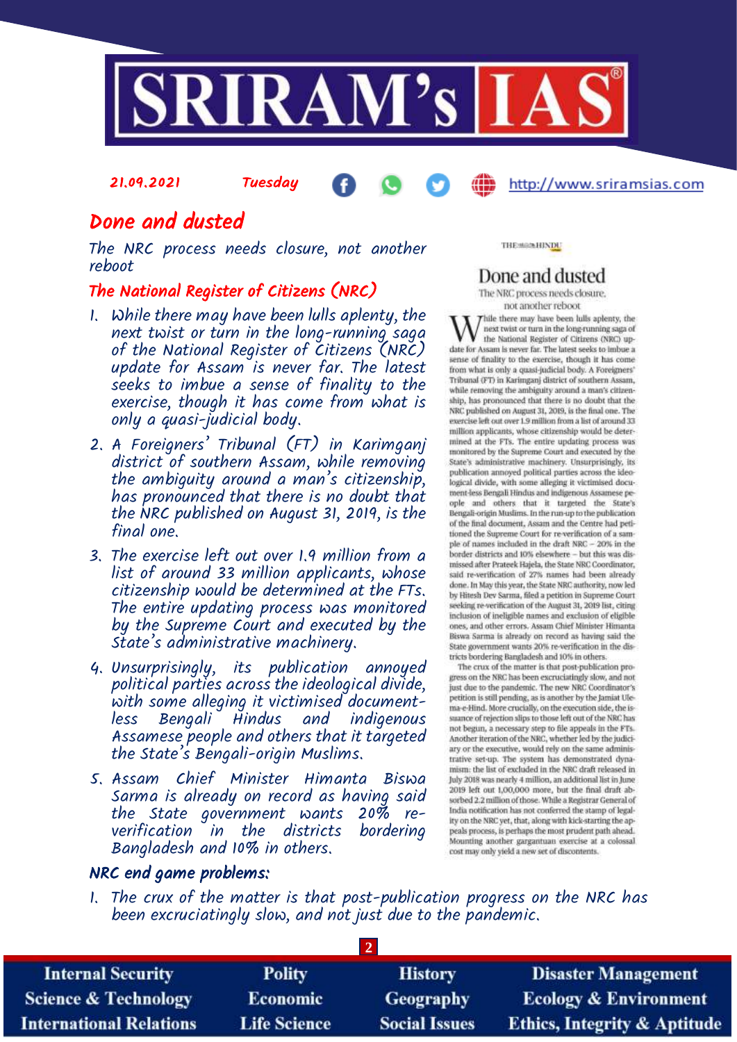

# Done and dusted

21.09.2021 Tuesday

The NRC process needs closure, not another reboot

### The National Register of Citizens (NRC)

- 1. While there may have been lulls aplenty, the next twist or turn in the long-running saga of the National Register of Citizens (NRC) update for Assam is never far. The latest seeks to imbue a sense of finality to the exercise, though it has come from what is only a quasi-judicial body.
- 2. A Foreigners' Tribunal (FT) in Karimganj district of southern Assam, while removing the ambiguity around a man's citizenship, has pronounced that there is no doubt that the NRC published on August 31, 2019, is the final one.
- 3. The exercise left out over 1.9 million from a list of around 33 million applicants, whose citizenship would be determined at the FTs. The entire updating process was monitored by the Supreme Court and executed by the State's administrative machinery.
- 4. Unsurprisingly, its publication annoyed political parties across the ideological divide, with some alleging it victimised documentless Bengali Hindus and indigenous Assamese people and others that it targeted the State's Bengali-origin Muslims.
- 5. Assam Chief Minister Himanta Biswa Sarma is already on record as having said the State government wants 20% reverification in the districts bordering Bangladesh and 10% in others.

THE MAINHINDU

# Done and dusted

http://www.sriramsias.com

The NRC process needs closure. not another reboot

Thile there may have been lulls aplenty, the next twist or turn in the long-running saga of the National Register of Citizens (NRC) update for Assam is never far. The latest seeks to imbue a sense of finality to the exercise, though it has come from what is only a quasi-judicial body. A Foreigners' Tribunal (FT) in Karimganj district of southern Assam, while removing the ambiguity around a man's citizen-<br>ship, has pronounced that there is no doubt that the NRC published on August 31, 2019, is the final one. The exercise left out over 1.9 million from a list of around 33 million applicants, whose citizenship would be deter-<br>mined at the FTs. The entire updating process was monitored by the Supreme Court and executed by the State's administrative machinery. Unsurprisingly, its publication annoyed political parties across the ideological divide, with some alleging it victimised document-less Bengali Hindus and indigenous Assamese people and others that it targeted the State's Bengali-origin Muslims. In the run-up to the publication of the final document, Assam and the Centre had petitioned the Supreme Court for re-verification of a sample of names included in the draft NRC - 20% in the border districts and 10% elsewhere - but this was dismissed after Prateek Hajela, the State NRC Coordinator, said re-verification of 27% names had been already done. In May this year, the State NRC authority, now led by Hitesh Dev Sarma, filed a petition in Supreme Court seeking re-verification of the August 31, 2019 list, citing inclusion of ineligible names and exclusion of eligible ones, and other errors. Assam Chief Minister Himanta Biswa Sarma is already on record as having said the State government wants 20% re-verification in the districts bordering Bangladesh and 10% in others.

The crux of the matter is that post-publication progress on the NRC has been excruciatingly slow, and not just due to the pandemic. The new NRC Coordinator's petition is still pending, as is another by the Jamiat Ulema-e-Hind. More crucially, on the execution side, the issuance of rejection slips to those left out of the NRC has not begun, a necessary step to file appeals in the FTs. Another iteration of the NRC, whether led by the judiciary or the executive, would rely on the same administrative set-up. The system has demonstrated dynamism: the list of excluded in the NRC draft released in July 2018 was nearly 4 million, an additional list in June 2019 left out 1,00,000 more, but the final draft absorbed 2.2 million of those. While a Registrar General of India notification has not conferred the stamp of legality on the NRC yet, that, along with kick-starting the appeals process, is perhaps the most prudent path ahead. Mounting another gargantuan exercise at a colossal cost may only yield a new set of discontents.

### NRC end game problems:

1. The crux of the matter is that post-publication progress on the NRC has been excruciatingly slow, and not just due to the pandemic.

| <b>Internal Security</b>        | <b>Polity</b>       | <b>History</b>       | <b>Disaster Management</b>              |
|---------------------------------|---------------------|----------------------|-----------------------------------------|
| <b>Science &amp; Technology</b> | <b>Economic</b>     | <b>Geography</b>     | <b>Ecology &amp; Environment</b>        |
| <b>International Relations</b>  | <b>Life Science</b> | <b>Social Issues</b> | <b>Ethics, Integrity &amp; Aptitude</b> |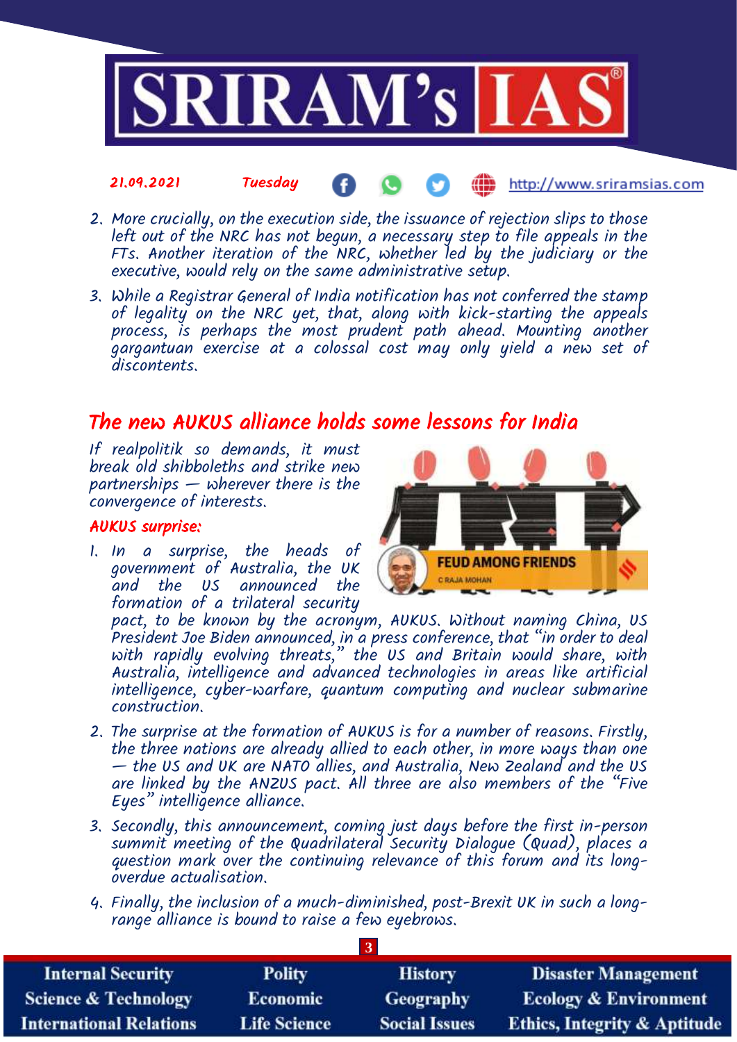

#### 21.09.2021 Tuesday ŒĎ http://www.sriramsias.com

- 2. More crucially, on the execution side, the issuance of rejection slips to those left out of the NRC has not begun, a necessary step to file appeals in the FTs. Another iteration of the NRC, whether led by the judiciary or the executive, would rely on the same administrative setup.
- 3. While a Registrar General of India notification has not conferred the stamp of legality on the NRC yet, that, along with kick-starting the appeals process, is perhaps the most prudent path ahead. Mounting another gargantuan exercise at a colossal cost may only yield a new set of discontents.

# The new AUKUS alliance holds some lessons for India

If realpolitik so demands, it must break old shibboleths and strike new partnerships — wherever there is the convergence of interests.

### AUKUS surprise:

1. In a surprise, the heads of government of Australia, the UK and the US announced the formation of a trilateral security



pact, to be known by the acronym, AUKUS. Without naming China, US President Joe Biden announced, in a press conference, that "in order to deal with rapidly evolving threats," the US and Britain would share, with Australia, intelligence and advanced technologies in areas like artificial intelligence, cyber-warfare, quantum computing and nuclear submarine construction.

- 2. The surprise at the formation of AUKUS is for a number of reasons. Firstly, the three nations are already allied to each other, in more ways than one — the US and UK are NATO allies, and Australia, New Zealand and the US are linked by the ANZUS pact. All three are also members of the "Five Eyes" intelligence alliance.
- 3. Secondly, this announcement, coming just days before the first in-person summit meeting of the Quadrilateral Security Dialogue (Quad), places a question mark over the continuing relevance of this forum and its longoverdue actualisation.
- 4. Finally, the inclusion of a much-diminished, post-Brexit UK in such a longrange alliance is bound to raise a few eyebrows.

| <b>Internal Security</b>       | <b>Polity</b>       | <b>History</b>       | <b>Disaster Management</b>              |
|--------------------------------|---------------------|----------------------|-----------------------------------------|
| Science & Technology           | <b>Economic</b>     | Geography            | <b>Ecology &amp; Environment</b>        |
| <b>International Relations</b> | <b>Life Science</b> | <b>Social Issues</b> | <b>Ethics, Integrity &amp; Aptitude</b> |

**3**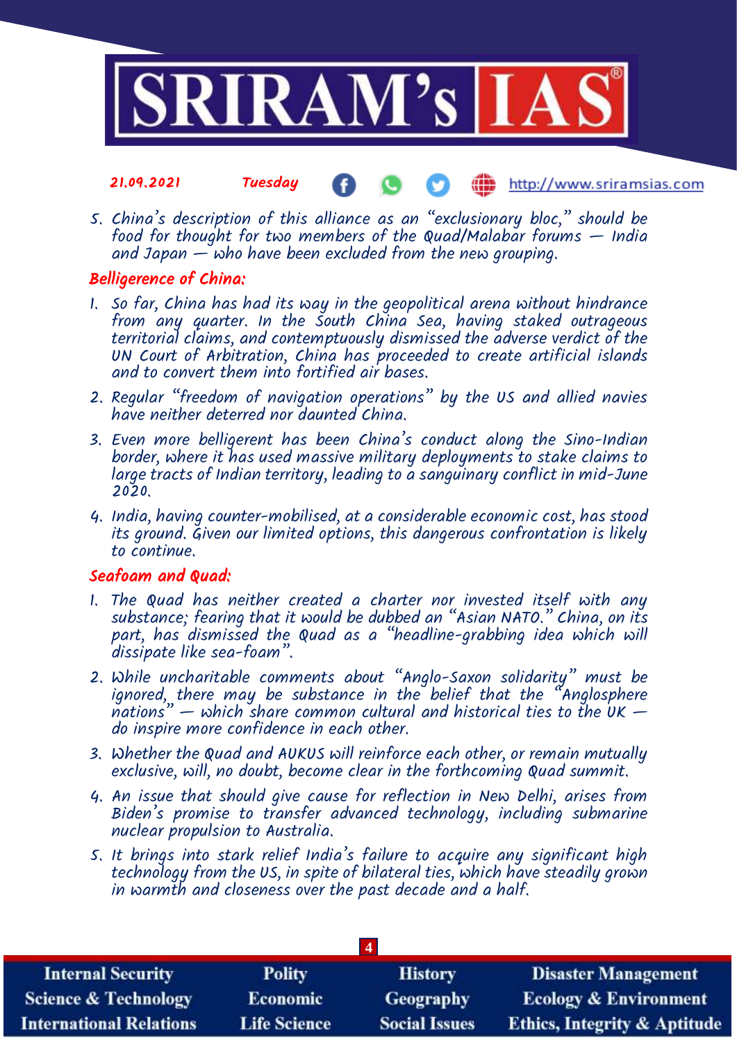

- 21.09.2021 Tuesday http://www.sriramsias.com
- 5. China's description of this alliance as an "exclusionary bloc," should be food for thought for two members of the Quad/Malabar forums  $-$  India and Japan — who have been excluded from the new grouping.

# Belligerence of China:

- 1. So far, China has had its way in the geopolitical arena without hindrance from any quarter. In the South China Sea, having staked outrageous territorial claims, and contemptuously dismissed the adverse verdict of the UN Court of Arbitration, China has proceeded to create artificial islands and to convert them into fortified air bases.
- 2. Regular "freedom of navigation operations" by the US and allied navies have neither deterred nor daunted China.
- 3. Even more belligerent has been China's conduct along the Sino-Indian border, where it has used massive military deployments to stake claims to large tracts of Indian territory, leading to a sanguinary conflict in mid-June 2020.
- 4. India, having counter-mobilised, at a considerable economic cost, has stood its ground. Given our limited options, this dangerous confrontation is likely to continue.

## Seafoam and Quad:

- 1. The Quad has neither created a charter nor invested itself with any substance; fearing that it would be dubbed an "Asian NATO." China, on its part, has dismissed the Quad as a "headline-grabbing idea which will dissipate like sea-foam".
- 2. While uncharitable comments about "Anglo-Saxon solidarity" must be ignored, there may be substance in the belief that the "Anglosphere nations" — which share common cultural and historical ties to the UK  $$ do inspire more confidence in each other.
- 3. Whether the Quad and AUKUS will reinforce each other, or remain mutually exclusive, will, no doubt, become clear in the forthcoming Quad summit.
- 4. An issue that should give cause for reflection in New Delhi, arises from Biden's promise to transfer advanced technology, including submarine nuclear propulsion to Australia.
- 5. It brings into stark relief India's failure to acquire any significant high technology from the US, in spite of bilateral ties, which have steadily grown in warmth and closeness over the past decade and a half.

| <b>Internal Security</b>        | <b>Polity</b>       | <b>History</b>       | <b>Disaster Management</b>              |
|---------------------------------|---------------------|----------------------|-----------------------------------------|
| <b>Science &amp; Technology</b> | <b>Economic</b>     | Geography            | <b>Ecology &amp; Environment</b>        |
| <b>International Relations</b>  | <b>Life Science</b> | <b>Social Issues</b> | <b>Ethics, Integrity &amp; Aptitude</b> |